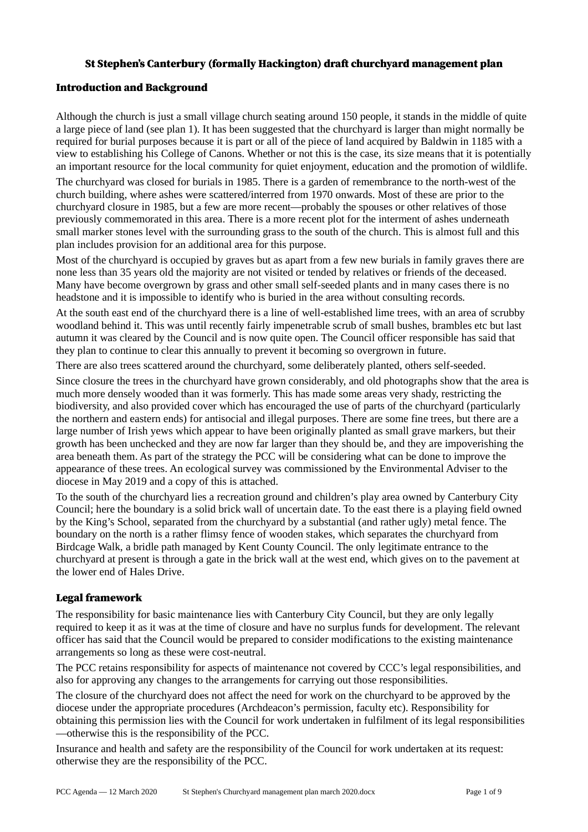#### St Stephen's Canterbury (formally Hackington) draft churchyard management plan

#### Introduction and Background

Although the church is just a small village church seating around 150 people, it stands in the middle of quite a large piece of land (see plan 1). It has been suggested that the churchyard is larger than might normally be required for burial purposes because it is part or all of the piece of land acquired by Baldwin in 1185 with a view to establishing his College of Canons. Whether or not this is the case, its size means that it is potentially an important resource for the local community for quiet enjoyment, education and the promotion of wildlife.

The churchyard was closed for burials in 1985. There is a garden of remembrance to the north-west of the church building, where ashes were scattered/interred from 1970 onwards. Most of these are prior to the churchyard closure in 1985, but a few are more recent—probably the spouses or other relatives of those previously commemorated in this area. There is a more recent plot for the interment of ashes underneath small marker stones level with the surrounding grass to the south of the church. This is almost full and this plan includes provision for an additional area for this purpose.

Most of the churchyard is occupied by graves but as apart from a few new burials in family graves there are none less than 35 years old the majority are not visited or tended by relatives or friends of the deceased. Many have become overgrown by grass and other small self-seeded plants and in many cases there is no headstone and it is impossible to identify who is buried in the area without consulting records.

At the south east end of the churchyard there is a line of well-established lime trees, with an area of scrubby woodland behind it. This was until recently fairly impenetrable scrub of small bushes, brambles etc but last autumn it was cleared by the Council and is now quite open. The Council officer responsible has said that they plan to continue to clear this annually to prevent it becoming so overgrown in future.

There are also trees scattered around the churchyard, some deliberately planted, others self-seeded.

Since closure the trees in the churchyard have grown considerably, and old photographs show that the area is much more densely wooded than it was formerly. This has made some areas very shady, restricting the biodiversity, and also provided cover which has encouraged the use of parts of the churchyard (particularly the northern and eastern ends) for antisocial and illegal purposes. There are some fine trees, but there are a large number of Irish yews which appear to have been originally planted as small grave markers, but their growth has been unchecked and they are now far larger than they should be, and they are impoverishing the area beneath them. As part of the strategy the PCC will be considering what can be done to improve the appearance of these trees. An ecological survey was commissioned by the Environmental Adviser to the diocese in May 2019 and a copy of this is attached.

To the south of the churchyard lies a recreation ground and children's play area owned by Canterbury City Council; here the boundary is a solid brick wall of uncertain date. To the east there is a playing field owned by the King's School, separated from the churchyard by a substantial (and rather ugly) metal fence. The boundary on the north is a rather flimsy fence of wooden stakes, which separates the churchyard from Birdcage Walk, a bridle path managed by Kent County Council. The only legitimate entrance to the churchyard at present is through a gate in the brick wall at the west end, which gives on to the pavement at the lower end of Hales Drive.

#### Legal framework

The responsibility for basic maintenance lies with Canterbury City Council, but they are only legally required to keep it as it was at the time of closure and have no surplus funds for development. The relevant officer has said that the Council would be prepared to consider modifications to the existing maintenance arrangements so long as these were cost-neutral.

The PCC retains responsibility for aspects of maintenance not covered by CCC's legal responsibilities, and also for approving any changes to the arrangements for carrying out those responsibilities.

The closure of the churchyard does not affect the need for work on the churchyard to be approved by the diocese under the appropriate procedures (Archdeacon's permission, faculty etc). Responsibility for obtaining this permission lies with the Council for work undertaken in fulfilment of its legal responsibilities —otherwise this is the responsibility of the PCC.

Insurance and health and safety are the responsibility of the Council for work undertaken at its request: otherwise they are the responsibility of the PCC.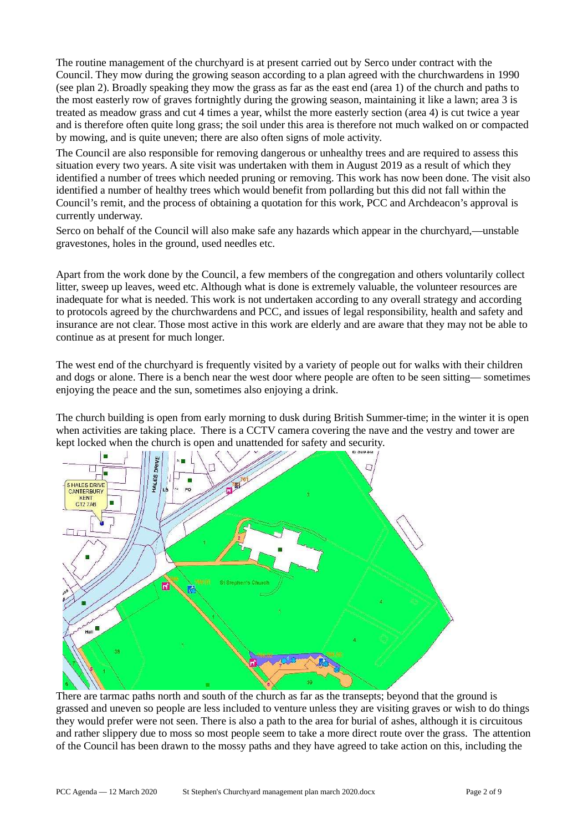The routine management of the churchyard is at present carried out by Serco under contract with the Council. They mow during the growing season according to a plan agreed with the churchwardens in 1990 (see plan 2). Broadly speaking they mow the grass as far as the east end (area 1) of the church and paths to the most easterly row of graves fortnightly during the growing season, maintaining it like a lawn; area 3 is treated as meadow grass and cut 4 times a year, whilst the more easterly section (area 4) is cut twice a year and is therefore often quite long grass; the soil under this area is therefore not much walked on or compacted by mowing, and is quite uneven; there are also often signs of mole activity.

The Council are also responsible for removing dangerous or unhealthy trees and are required to assess this situation every two years. A site visit was undertaken with them in August 2019 as a result of which they identified a number of trees which needed pruning or removing. This work has now been done. The visit also identified a number of healthy trees which would benefit from pollarding but this did not fall within the Council's remit, and the process of obtaining a quotation for this work, PCC and Archdeacon's approval is currently underway.

Serco on behalf of the Council will also make safe any hazards which appear in the churchyard,—unstable gravestones, holes in the ground, used needles etc.

Apart from the work done by the Council, a few members of the congregation and others voluntarily collect litter, sweep up leaves, weed etc. Although what is done is extremely valuable, the volunteer resources are inadequate for what is needed. This work is not undertaken according to any overall strategy and according to protocols agreed by the churchwardens and PCC, and issues of legal responsibility, health and safety and insurance are not clear. Those most active in this work are elderly and are aware that they may not be able to continue as at present for much longer.

The west end of the churchyard is frequently visited by a variety of people out for walks with their children and dogs or alone. There is a bench near the west door where people are often to be seen sitting— sometimes enjoying the peace and the sun, sometimes also enjoying a drink.

The church building is open from early morning to dusk during British Summer-time; in the winter it is open when activities are taking place. There is a CCTV camera covering the nave and the vestry and tower are kept locked when the church is open and unattended for safety and security.



There are tarmac paths north and south of the church as far as the transepts; beyond that the ground is grassed and uneven so people are less included to venture unless they are visiting graves or wish to do things they would prefer were not seen. There is also a path to the area for burial of ashes, although it is circuitous and rather slippery due to moss so most people seem to take a more direct route over the grass. The attention of the Council has been drawn to the mossy paths and they have agreed to take action on this, including the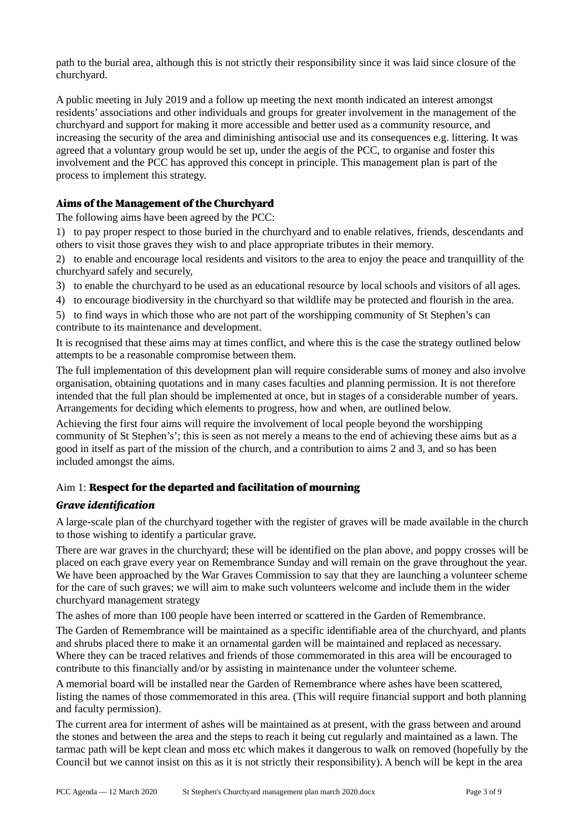path to the burial area, although this is not strictly their responsibility since it was laid since closure of the churchyard.

A public meeting in July 2019 and a follow up meeting the next month indicated an interest amongst residents' associations and other individuals and groups for greater involvement in the management of the churchyard and support for making it more accessible and better used as a community resource, and increasing the security of the area and diminishing antisocial use and its consequences e.g. littering. It was agreed that a voluntary group would be set up, under the aegis of the PCC, to organise and foster this involvement and the PCC has approved this concept in principle. This management plan is part of the process to implement this strategy.

## Aims of the Management of the Churchyard

The following aims have been agreed by the PCC:

1) to pay proper respect to those buried in the churchyard and to enable relatives, friends, descendants and others to visit those graves they wish to and place appropriate tributes in their memory.

2) to enable and encourage local residents and visitors to the area to enjoy the peace and tranquillity of the churchyard safely and securely,

- 3) to enable the churchyard to be used as an educational resource by local schools and visitors of all ages.
- 4) to encourage biodiversity in the churchyard so that wildlife may be protected and flourish in the area.
- 5) to find ways in which those who are not part of the worshipping community of St Stephen's can contribute to its maintenance and development.

It is recognised that these aims may at times conflict, and where this is the case the strategy outlined below attempts to be a reasonable compromise between them.

The full implementation of this development plan will require considerable sums of money and also involve organisation, obtaining quotations and in many cases faculties and planning permission. It is not therefore intended that the full plan should be implemented at once, but in stages of a considerable number of years. Arrangements for deciding which elements to progress, how and when, are outlined below.

Achieving the first four aims will require the involvement of local people beyond the worshipping community of St Stephen's'; this is seen as not merely a means to the end of achieving these aims but as a good in itself as part of the mission of the church, and a contribution to aims 2 and 3, and so has been included amongst the aims.

## Aim 1: Respect for the departed and facilitation of mourning

#### Grave identification

A large-scale plan of the churchyard together with the register of graves will be made available in the church to those wishing to identify a particular grave.

There are war graves in the churchyard; these will be identified on the plan above, and poppy crosses will be placed on each grave every year on Remembrance Sunday and will remain on the grave throughout the year. We have been approached by the War Graves Commission to say that they are launching a volunteer scheme for the care of such graves; we will aim to make such volunteers welcome and include them in the wider churchyard management strategy

The ashes of more than 100 people have been interred or scattered in the Garden of Remembrance.

The Garden of Remembrance will be maintained as a specific identifiable area of the churchyard, and plants and shrubs placed there to make it an ornamental garden will be maintained and replaced as necessary. Where they can be traced relatives and friends of those commemorated in this area will be encouraged to contribute to this financially and/or by assisting in maintenance under the volunteer scheme.

A memorial board will be installed near the Garden of Remembrance where ashes have been scattered, listing the names of those commemorated in this area. (This will require financial support and both planning and faculty permission).

The current area for interment of ashes will be maintained as at present, with the grass between and around the stones and between the area and the steps to reach it being cut regularly and maintained as a lawn. The tarmac path will be kept clean and moss etc which makes it dangerous to walk on removed (hopefully by the Council but we cannot insist on this as it is not strictly their responsibility). A bench will be kept in the area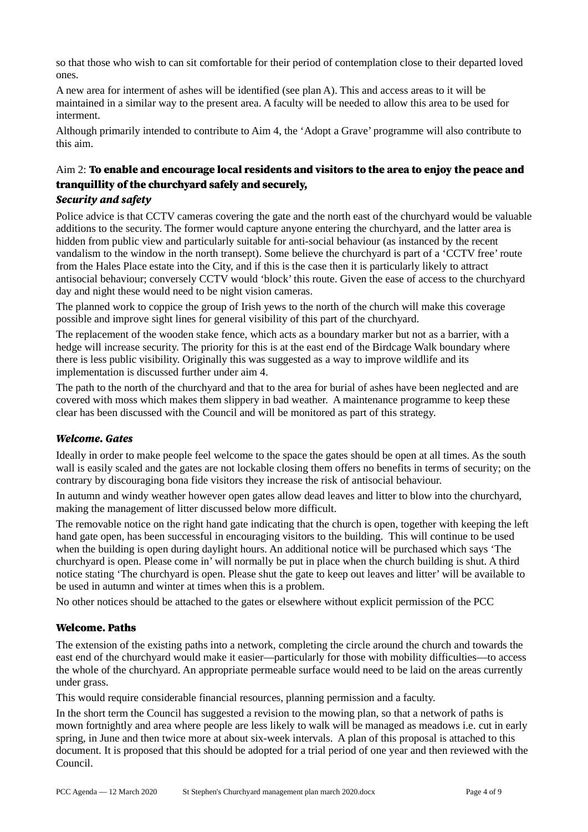so that those who wish to can sit comfortable for their period of contemplation close to their departed loved ones.

A new area for interment of ashes will be identified (see plan A). This and access areas to it will be maintained in a similar way to the present area. A faculty will be needed to allow this area to be used for interment.

Although primarily intended to contribute to Aim 4, the 'Adopt a Grave' programme will also contribute to this aim.

# Aim 2: To enable and encourage local residents and visitors to the area to enjoy the peace and tranquillity of the churchyard safely and securely,

## Security and safety

Police advice is that CCTV cameras covering the gate and the north east of the churchyard would be valuable additions to the security. The former would capture anyone entering the churchyard, and the latter area is hidden from public view and particularly suitable for anti-social behaviour (as instanced by the recent vandalism to the window in the north transept). Some believe the churchyard is part of a 'CCTV free' route from the Hales Place estate into the City, and if this is the case then it is particularly likely to attract antisocial behaviour; conversely CCTV would 'block' this route. Given the ease of access to the churchyard day and night these would need to be night vision cameras.

The planned work to coppice the group of Irish yews to the north of the church will make this coverage possible and improve sight lines for general visibility of this part of the churchyard.

The replacement of the wooden stake fence, which acts as a boundary marker but not as a barrier, with a hedge will increase security. The priority for this is at the east end of the Birdcage Walk boundary where there is less public visibility. Originally this was suggested as a way to improve wildlife and its implementation is discussed further under aim 4.

The path to the north of the churchyard and that to the area for burial of ashes have been neglected and are covered with moss which makes them slippery in bad weather. A maintenance programme to keep these clear has been discussed with the Council and will be monitored as part of this strategy.

## Welcome. Gates

Ideally in order to make people feel welcome to the space the gates should be open at all times. As the south wall is easily scaled and the gates are not lockable closing them offers no benefits in terms of security; on the contrary by discouraging bona fide visitors they increase the risk of antisocial behaviour.

In autumn and windy weather however open gates allow dead leaves and litter to blow into the churchyard, making the management of litter discussed below more difficult.

The removable notice on the right hand gate indicating that the church is open, together with keeping the left hand gate open, has been successful in encouraging visitors to the building. This will continue to be used when the building is open during daylight hours. An additional notice will be purchased which says 'The churchyard is open. Please come in' will normally be put in place when the church building is shut. A third notice stating 'The churchyard is open. Please shut the gate to keep out leaves and litter' will be available to be used in autumn and winter at times when this is a problem.

No other notices should be attached to the gates or elsewhere without explicit permission of the PCC

## Welcome. Paths

The extension of the existing paths into a network, completing the circle around the church and towards the east end of the churchyard would make it easier—particularly for those with mobility difficulties—to access the whole of the churchyard. An appropriate permeable surface would need to be laid on the areas currently under grass.

This would require considerable financial resources, planning permission and a faculty.

In the short term the Council has suggested a revision to the mowing plan, so that a network of paths is mown fortnightly and area where people are less likely to walk will be managed as meadows i.e. cut in early spring, in June and then twice more at about six-week intervals. A plan of this proposal is attached to this document. It is proposed that this should be adopted for a trial period of one year and then reviewed with the Council.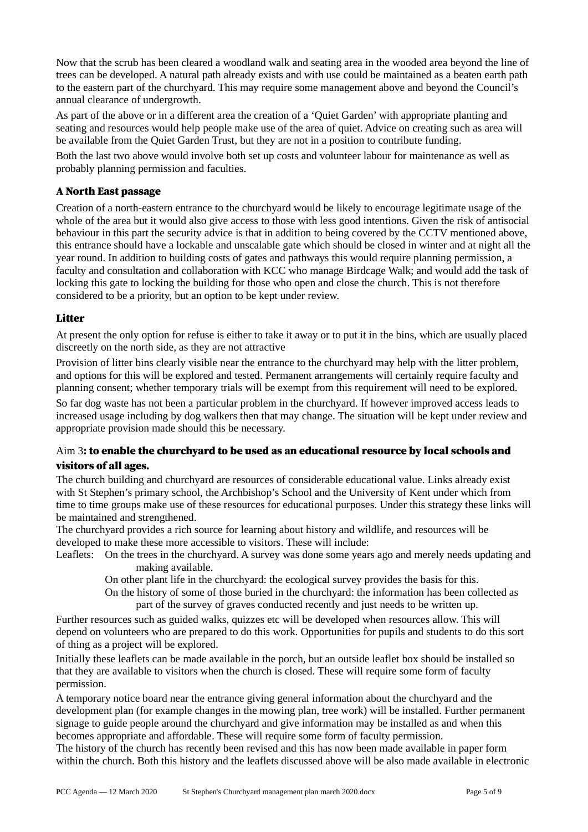Now that the scrub has been cleared a woodland walk and seating area in the wooded area beyond the line of trees can be developed. A natural path already exists and with use could be maintained as a beaten earth path to the eastern part of the churchyard. This may require some management above and beyond the Council's annual clearance of undergrowth.

As part of the above or in a different area the creation of a 'Quiet Garden' with appropriate planting and seating and resources would help people make use of the area of quiet. Advice on creating such as area will be available from the Quiet Garden Trust, but they are not in a position to contribute funding.

Both the last two above would involve both set up costs and volunteer labour for maintenance as well as probably planning permission and faculties.

## A North East passage

Creation of a north-eastern entrance to the churchyard would be likely to encourage legitimate usage of the whole of the area but it would also give access to those with less good intentions. Given the risk of antisocial behaviour in this part the security advice is that in addition to being covered by the CCTV mentioned above, this entrance should have a lockable and unscalable gate which should be closed in winter and at night all the year round. In addition to building costs of gates and pathways this would require planning permission, a faculty and consultation and collaboration with KCC who manage Birdcage Walk; and would add the task of locking this gate to locking the building for those who open and close the church. This is not therefore considered to be a priority, but an option to be kept under review.

#### **Litter**

At present the only option for refuse is either to take it away or to put it in the bins, which are usually placed discreetly on the north side, as they are not attractive

Provision of litter bins clearly visible near the entrance to the churchyard may help with the litter problem, and options for this will be explored and tested. Permanent arrangements will certainly require faculty and planning consent; whether temporary trials will be exempt from this requirement will need to be explored.

So far dog waste has not been a particular problem in the churchyard. If however improved access leads to increased usage including by dog walkers then that may change. The situation will be kept under review and appropriate provision made should this be necessary.

## Aim 3: to enable the churchyard to be used as an educational resource by local schools and visitors of all ages.

The church building and churchyard are resources of considerable educational value. Links already exist with St Stephen's primary school, the Archbishop's School and the University of Kent under which from time to time groups make use of these resources for educational purposes. Under this strategy these links will be maintained and strengthened.

The churchyard provides a rich source for learning about history and wildlife, and resources will be developed to make these more accessible to visitors. These will include:

Leaflets: On the trees in the churchyard. A survey was done some years ago and merely needs updating and making available.

On other plant life in the churchyard: the ecological survey provides the basis for this.

On the history of some of those buried in the churchyard: the information has been collected as part of the survey of graves conducted recently and just needs to be written up.

Further resources such as guided walks, quizzes etc will be developed when resources allow. This will depend on volunteers who are prepared to do this work. Opportunities for pupils and students to do this sort of thing as a project will be explored.

Initially these leaflets can be made available in the porch, but an outside leaflet box should be installed so that they are available to visitors when the church is closed. These will require some form of faculty permission.

A temporary notice board near the entrance giving general information about the churchyard and the development plan (for example changes in the mowing plan, tree work) will be installed. Further permanent signage to guide people around the churchyard and give information may be installed as and when this becomes appropriate and affordable. These will require some form of faculty permission.

The history of the church has recently been revised and this has now been made available in paper form within the church. Both this history and the leaflets discussed above will be also made available in electronic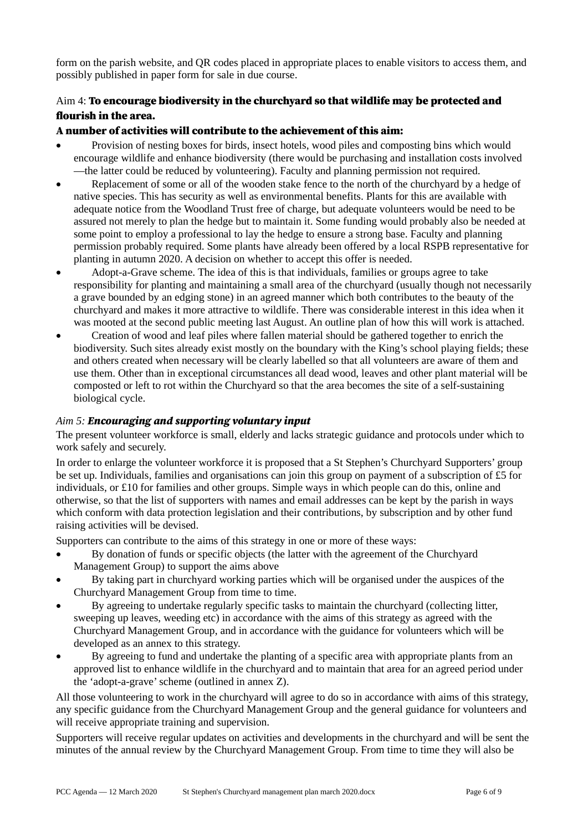form on the parish website, and QR codes placed in appropriate places to enable visitors to access them, and possibly published in paper form for sale in due course.

## Aim 4: To encourage biodiversity in the churchyard so that wildlife may be protected and flourish in the area.

#### A number of activities will contribute to the achievement of this aim:

- Provision of nesting boxes for birds, insect hotels, wood piles and composting bins which would encourage wildlife and enhance biodiversity (there would be purchasing and installation costs involved —the latter could be reduced by volunteering). Faculty and planning permission not required.
- Replacement of some or all of the wooden stake fence to the north of the churchyard by a hedge of native species. This has security as well as environmental benefits. Plants for this are available with adequate notice from the Woodland Trust free of charge, but adequate volunteers would be need to be assured not merely to plan the hedge but to maintain it. Some funding would probably also be needed at some point to employ a professional to lay the hedge to ensure a strong base. Faculty and planning permission probably required. Some plants have already been offered by a local RSPB representative for planting in autumn 2020. A decision on whether to accept this offer is needed.
- Adopt-a-Grave scheme. The idea of this is that individuals, families or groups agree to take responsibility for planting and maintaining a small area of the churchyard (usually though not necessarily a grave bounded by an edging stone) in an agreed manner which both contributes to the beauty of the churchyard and makes it more attractive to wildlife. There was considerable interest in this idea when it was mooted at the second public meeting last August. An outline plan of how this will work is attached.
- Creation of wood and leaf piles where fallen material should be gathered together to enrich the biodiversity. Such sites already exist mostly on the boundary with the King's school playing fields; these and others created when necessary will be clearly labelled so that all volunteers are aware of them and use them. Other than in exceptional circumstances all dead wood, leaves and other plant material will be composted or left to rot within the Churchyard so that the area becomes the site of a self-sustaining biological cycle.

## Aim 5: **Encouraging and supporting voluntary input**

The present volunteer workforce is small, elderly and lacks strategic guidance and protocols under which to work safely and securely.

In order to enlarge the volunteer workforce it is proposed that a St Stephen's Churchyard Supporters' group be set up. Individuals, families and organisations can join this group on payment of a subscription of £5 for individuals, or £10 for families and other groups. Simple ways in which people can do this, online and otherwise, so that the list of supporters with names and email addresses can be kept by the parish in ways which conform with data protection legislation and their contributions, by subscription and by other fund raising activities will be devised.

Supporters can contribute to the aims of this strategy in one or more of these ways:

- By donation of funds or specific objects (the latter with the agreement of the Churchyard Management Group) to support the aims above
- By taking part in churchyard working parties which will be organised under the auspices of the Churchyard Management Group from time to time.
- By agreeing to undertake regularly specific tasks to maintain the churchyard (collecting litter, sweeping up leaves, weeding etc) in accordance with the aims of this strategy as agreed with the Churchyard Management Group, and in accordance with the guidance for volunteers which will be developed as an annex to this strategy.
- By agreeing to fund and undertake the planting of a specific area with appropriate plants from an approved list to enhance wildlife in the churchyard and to maintain that area for an agreed period under the 'adopt-a-grave' scheme (outlined in annex Z).

All those volunteering to work in the churchyard will agree to do so in accordance with aims of this strategy, any specific guidance from the Churchyard Management Group and the general guidance for volunteers and will receive appropriate training and supervision.

Supporters will receive regular updates on activities and developments in the churchyard and will be sent the minutes of the annual review by the Churchyard Management Group. From time to time they will also be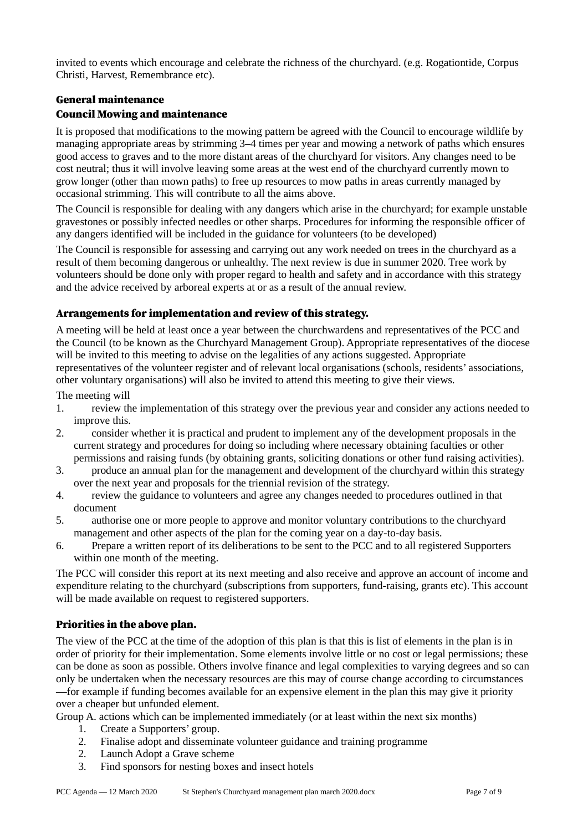invited to events which encourage and celebrate the richness of the churchyard. (e.g. Rogationtide, Corpus Christi, Harvest, Remembrance etc).

#### General maintenance

#### Council Mowing and maintenance

It is proposed that modifications to the mowing pattern be agreed with the Council to encourage wildlife by managing appropriate areas by strimming 3–4 times per year and mowing a network of paths which ensures good access to graves and to the more distant areas of the churchyard for visitors. Any changes need to be cost neutral; thus it will involve leaving some areas at the west end of the churchyard currently mown to grow longer (other than mown paths) to free up resources to mow paths in areas currently managed by occasional strimming. This will contribute to all the aims above.

The Council is responsible for dealing with any dangers which arise in the churchyard; for example unstable gravestones or possibly infected needles or other sharps. Procedures for informing the responsible officer of any dangers identified will be included in the guidance for volunteers (to be developed)

The Council is responsible for assessing and carrying out any work needed on trees in the churchyard as a result of them becoming dangerous or unhealthy. The next review is due in summer 2020. Tree work by volunteers should be done only with proper regard to health and safety and in accordance with this strategy and the advice received by arboreal experts at or as a result of the annual review.

#### Arrangements for implementation and review of this strategy.

A meeting will be held at least once a year between the churchwardens and representatives of the PCC and the Council (to be known as the Churchyard Management Group). Appropriate representatives of the diocese will be invited to this meeting to advise on the legalities of any actions suggested. Appropriate representatives of the volunteer register and of relevant local organisations (schools, residents' associations, other voluntary organisations) will also be invited to attend this meeting to give their views.

The meeting will

- 1. review the implementation of this strategy over the previous year and consider any actions needed to improve this.
- 2. consider whether it is practical and prudent to implement any of the development proposals in the current strategy and procedures for doing so including where necessary obtaining faculties or other permissions and raising funds (by obtaining grants, soliciting donations or other fund raising activities).
- 3. produce an annual plan for the management and development of the churchyard within this strategy over the next year and proposals for the triennial revision of the strategy.
- 4. review the guidance to volunteers and agree any changes needed to procedures outlined in that document
- 5. authorise one or more people to approve and monitor voluntary contributions to the churchyard management and other aspects of the plan for the coming year on a day-to-day basis.
- 6. Prepare a written report of its deliberations to be sent to the PCC and to all registered Supporters within one month of the meeting.

The PCC will consider this report at its next meeting and also receive and approve an account of income and expenditure relating to the churchyard (subscriptions from supporters, fund-raising, grants etc). This account will be made available on request to registered supporters.

## Priorities in the above plan.

The view of the PCC at the time of the adoption of this plan is that this is list of elements in the plan is in order of priority for their implementation. Some elements involve little or no cost or legal permissions; these can be done as soon as possible. Others involve finance and legal complexities to varying degrees and so can only be undertaken when the necessary resources are this may of course change according to circumstances

—for example if funding becomes available for an expensive element in the plan this may give it priority over a cheaper but unfunded element.

Group A. actions which can be implemented immediately (or at least within the next six months)

- 1. Create a Supporters' group.
- 2. Finalise adopt and disseminate volunteer guidance and training programme
- 2. Launch Adopt a Grave scheme
- 3. Find sponsors for nesting boxes and insect hotels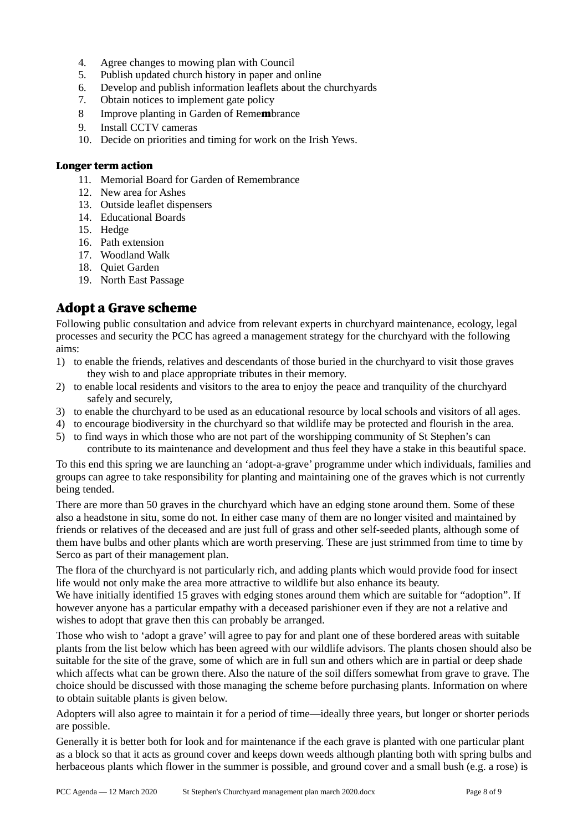- 4. Agree changes to mowing plan with Council
- 5. Publish updated church history in paper and online
- 6. Develop and publish information leaflets about the churchyards
- 7. Obtain notices to implement gate policy
- 8 Improve planting in Garden of Remembrance
- 9. Install CCTV cameras
- 10. Decide on priorities and timing for work on the Irish Yews.

#### Longer term action

- 11. Memorial Board for Garden of Remembrance
- 12. New area for Ashes
- 13. Outside leaflet dispensers
- 14. Educational Boards
- 15. Hedge
- 16. Path extension
- 17. Woodland Walk
- 18. Quiet Garden
- 19. North East Passage

## Adopt a Grave scheme

Following public consultation and advice from relevant experts in churchyard maintenance, ecology, legal processes and security the PCC has agreed a management strategy for the churchyard with the following aims:

- 1) to enable the friends, relatives and descendants of those buried in the churchyard to visit those graves they wish to and place appropriate tributes in their memory.
- 2) to enable local residents and visitors to the area to enjoy the peace and tranquility of the churchyard safely and securely,
- 3) to enable the churchyard to be used as an educational resource by local schools and visitors of all ages.
- 4) to encourage biodiversity in the churchyard so that wildlife may be protected and flourish in the area.
- 5) to find ways in which those who are not part of the worshipping community of St Stephen's can contribute to its maintenance and development and thus feel they have a stake in this beautiful space.

To this end this spring we are launching an 'adopt-a-grave' programme under which individuals, families and groups can agree to take responsibility for planting and maintaining one of the graves which is not currently being tended.

There are more than 50 graves in the churchyard which have an edging stone around them. Some of these also a headstone in situ, some do not. In either case many of them are no longer visited and maintained by friends or relatives of the deceased and are just full of grass and other self-seeded plants, although some of them have bulbs and other plants which are worth preserving. These are just strimmed from time to time by Serco as part of their management plan.

The flora of the churchyard is not particularly rich, and adding plants which would provide food for insect life would not only make the area more attractive to wildlife but also enhance its beauty.

We have initially identified 15 graves with edging stones around them which are suitable for "adoption". If however anyone has a particular empathy with a deceased parishioner even if they are not a relative and wishes to adopt that grave then this can probably be arranged.

Those who wish to 'adopt a grave' will agree to pay for and plant one of these bordered areas with suitable plants from the list below which has been agreed with our wildlife advisors. The plants chosen should also be suitable for the site of the grave, some of which are in full sun and others which are in partial or deep shade which affects what can be grown there. Also the nature of the soil differs somewhat from grave to grave. The choice should be discussed with those managing the scheme before purchasing plants. Information on where to obtain suitable plants is given below.

Adopters will also agree to maintain it for a period of time—ideally three years, but longer or shorter periods are possible.

Generally it is better both for look and for maintenance if the each grave is planted with one particular plant as a block so that it acts as ground cover and keeps down weeds although planting both with spring bulbs and herbaceous plants which flower in the summer is possible, and ground cover and a small bush (e.g. a rose) is